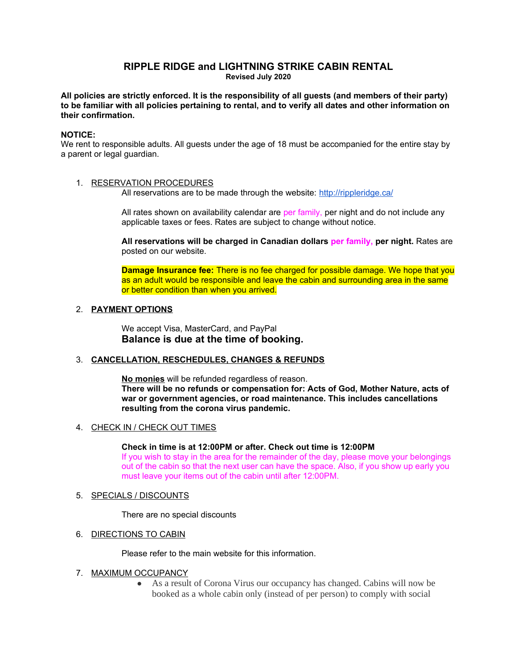# **RIPPLE RIDGE and LIGHTNING STRIKE CABIN RENTAL Revised July 2020**

**All policies are strictly enforced. It is the responsibility of all guests (and members of their party) to be familiar with all policies pertaining to rental, and to verify all dates and other information on their confirmation.**

# **NOTICE:**

We rent to responsible adults. All guests under the age of 18 must be accompanied for the entire stay by a parent or legal guardian.

## 1. RESERVATION PROCEDURES

All reservations are to be made through the website:<http://rippleridge.ca/>

All rates shown on availability calendar are per family, per night and do not include any applicable taxes or fees. Rates are subject to change without notice.

**All reservations will be charged in Canadian dollars per family, per night.** Rates are posted on our website.

**Damage Insurance fee:** There is no fee charged for possible damage. We hope that you as an adult would be responsible and leave the cabin and surrounding area in the same or better condition than when you arrived.

## 2. **PAYMENT OPTIONS**

We accept Visa, MasterCard, and PayPal **Balance is due at the time of booking.**

## 3. **CANCELLATION, RESCHEDULES, CHANGES & REFUNDS**

**No monies** will be refunded regardless of reason. **There will be no refunds or compensation for: Acts of God, Mother Nature, acts of war or government agencies, or road maintenance. This includes cancellations resulting from the corona virus pandemic.**

## 4. CHECK IN / CHECK OUT TIMES

#### **Check in time is at 12:00PM or after. Check out time is 12:00PM**

If you wish to stay in the area for the remainder of the day, please move your belongings out of the cabin so that the next user can have the space. Also, if you show up early you must leave your items out of the cabin until after 12:00PM.

## 5. SPECIALS / DISCOUNTS

There are no special discounts

## 6. DIRECTIONS TO CABIN

Please refer to the main website for this information.

## 7. MAXIMUM OCCUPANCY

● As a result of Corona Virus our occupancy has changed. Cabins will now be booked as a whole cabin only (instead of per person) to comply with social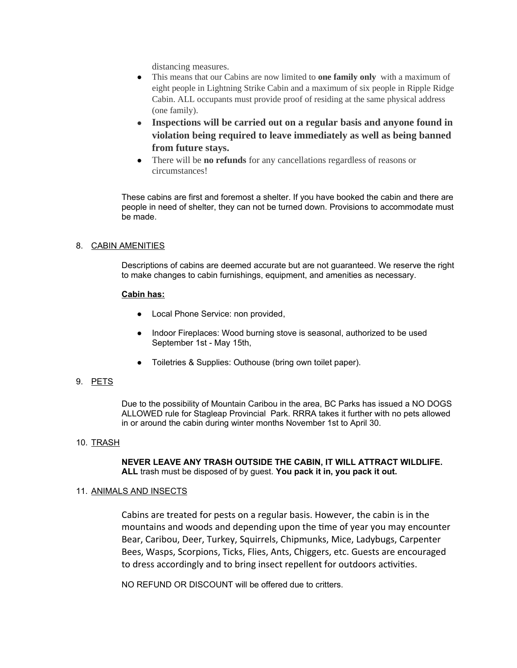distancing measures.

- This means that our Cabins are now limited to **one family only** with a maximum of eight people in Lightning Strike Cabin and a maximum of six people in Ripple Ridge Cabin. ALL occupants must provide proof of residing at the same physical address (one family).
- **Inspections will be carried out on a regular basis and anyone found in violation being required to leave immediately as well as being banned from future stays.**
- There will be **no refunds** for any cancellations regardless of reasons or circumstances!

These cabins are first and foremost a shelter. If you have booked the cabin and there are people in need of shelter, they can not be turned down. Provisions to accommodate must be made.

# 8. CABIN AMENITIES

Descriptions of cabins are deemed accurate but are not guaranteed. We reserve the right to make changes to cabin furnishings, equipment, and amenities as necessary.

## **Cabin has:**

- Local Phone Service: non provided,
- Indoor Fireplaces: Wood burning stove is seasonal, authorized to be used September 1st - May 15th,
- Toiletries & Supplies: Outhouse (bring own toilet paper).

# 9. PETS

Due to the possibility of Mountain Caribou in the area, BC Parks has issued a NO DOGS ALLOWED rule for Stagleap Provincial Park. RRRA takes it further with no pets allowed in or around the cabin during winter months November 1st to April 30.

## 10. TRASH

**NEVER LEAVE ANY TRASH OUTSIDE THE CABIN, IT WILL ATTRACT WILDLIFE. ALL** trash must be disposed of by guest. **You pack it in, you pack it out.**

## 11. ANIMALS AND INSECTS

Cabins are treated for pests on a regular basis. However, the cabin is in the mountains and woods and depending upon the time of year you may encounter Bear, Caribou, Deer, Turkey, Squirrels, Chipmunks, Mice, Ladybugs, Carpenter Bees, Wasps, Scorpions, Ticks, Flies, Ants, Chiggers, etc. Guests are encouraged to dress accordingly and to bring insect repellent for outdoors activities.

NO REFUND OR DISCOUNT will be offered due to critters.